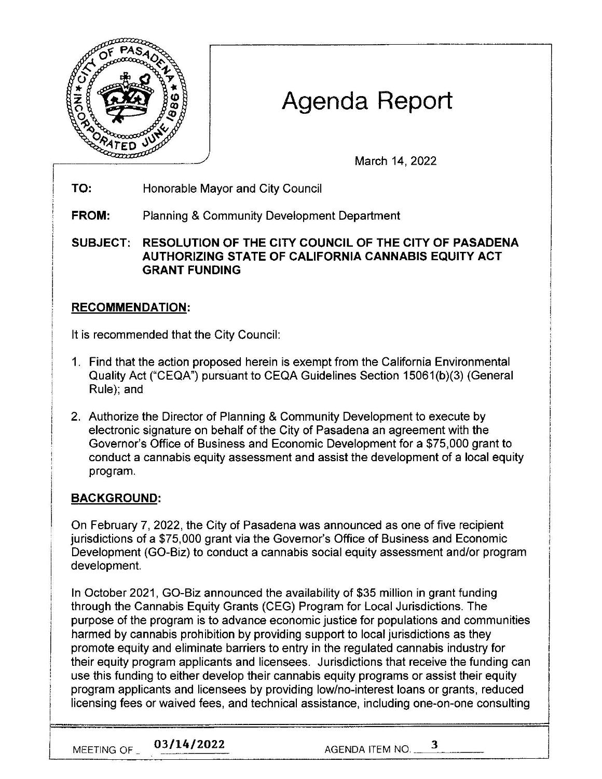

# Agenda Report

March 14, 2022

**TO:**  Honorable Mayor and City Council

**FROM:** Planning & Community Development Department

**SUBJECT: RESOLUTION OF THE CITY COUNCIL OF THE CITY OF PASADENA AUTHORIZING STATE OF CALIFORNIA CANNABIS EQUITY ACT GRANT FUNDING** 

### **RECOMMENDATION:**

lt is recommended that the City Council:

- 1. Find that the action proposed herein is exempt from the California Environmental Quality Act ("CEQA") pursuant to CEQA Guidelines Section 15061 (b)(3) (General Rule); and
- 2. Authorize the Director of Planning & Community Development to execute by electronic signature on behalf of the City of Pasadena an agreement with the Governor's Office of Business and Economic Development for a \$75,000 grant to conduct a cannabis equity assessment and assist the development of a local equity program.

## **BACKGROUND:**

On February 7, 2022, the City of Pasadena was announced as one of five recipient jurisdictions of a \$75,000 grant via the Governor's Office of Business and Economic Development (GO-Biz) to conduct a cannabis social equity assessment and/or program development.

In October 2021 , GO-Biz announced the availability of \$35 million in grant funding through the Cannabis Equity Grants (CEG) Program for Local Jurisdictions. The purpose of the program is to advance economic justice for populations and communities harmed by cannabis prohibition by providing support to local jurisdictions as they promote equity and eliminate barriers to entry in the regulated cannabis industry for their equity program applicants and licensees. Jurisdictions that receive the funding can use this funding to either develop their cannabis equity programs or assist their equity program applicants and licensees by providing low/no-interest loans or grants, reduced licensing fees or waived fees, and technical assistance, including one-on-one consulting

MEETING OF 2021 **1949 1021 12022** AGENDA ITEM NO.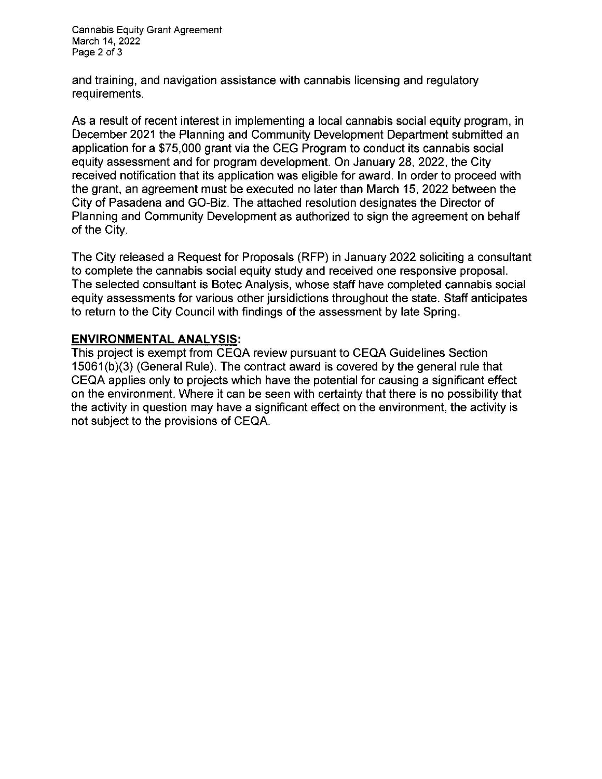Cannabis Equity Grant Agreement March 14, 2022 Page 2 of 3

and training, and navigation assistance with cannabis licensing and regulatory requirements.

As a result of recent interest in implementing a local cannabis social equity program, in December 2021 the Planning and Community Development Department submitted an application for a \$75,000 grant via the CEG Program to conduct its cannabis social equity assessment and for program development. On January 28, 2022, the City received notification that its application was eligible for award. In order to proceed with the grant, an agreement must be executed no later than March 15, 2022 between the City of Pasadena and GO-Biz. The attached resolution designates the Director of Planning and Community Development as authorized to sign the agreement on behalf of the City.

The City released a Request for Proposals (RFP) in January 2022 soliciting a consultant to complete the cannabis social equity study and received one responsive proposal. The selected consultant is Botec Analysis, whose staff have completed cannabis social equity assessments for various other jursidictions throughout the state. Staff anticipates to return to the City Council with findings of the assessment by late Spring.

#### **ENVIRONMENTAL ANALYSIS:**

This project is exempt from CEQA review pursuant to CEQA Guidelines Section 15061 (b)(3) (General Rule). The contract award is covered by the general rule that CEQA applies only to projects which have the potential for causing a significant effect on the environment. Where it can be seen with certainty that there is no possibility that the activity in question may have a significant effect on the environment, the activity is not subject to the provisions of CEQA.